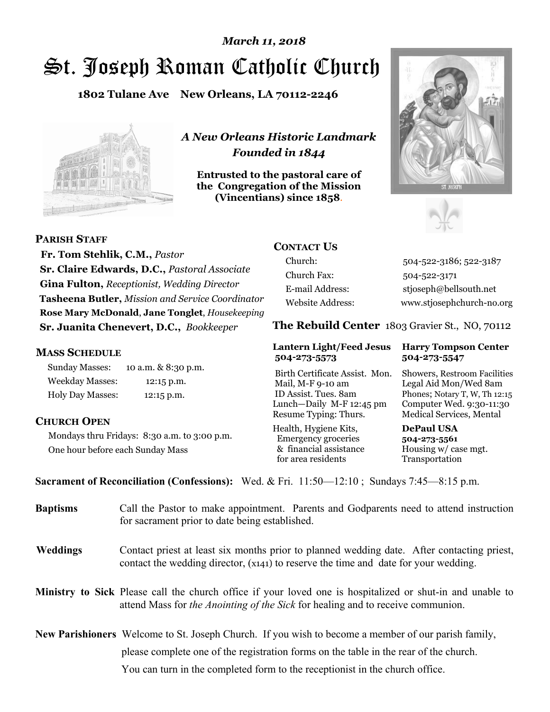# St. Joseph Roman Catholic Church *March 11, 2018*

**1802 Tulane Ave New Orleans, LA 70112-2246**



*A New Orleans Historic Landmark Founded in 1844* 

**Entrusted to the pastoral care of the Congregation of the Mission (Vincentians) since 1858**.





**PARISH STAFF**

 **Fr. Tom Stehlik, C.M.,** *Pastor* **Sr. Claire Edwards, D.C.,** *Pastoral Associate* **Gina Fulton,** *Receptionist, Wedding Director* **Tasheena Butler,** *Mission and Service Coordinator* **Rose Mary McDonald**, **Jane Tonglet**, *Housekeeping* **Sr. Juanita Chenevert, D.C.,** *Bookkeeper* 

### **MASS SCHEDULE**

Sunday Masses: 10 a.m. & 8:30 p.m. Weekday Masses: 12:15 p.m. Holy Day Masses: 12:15 p.m.

## **CHURCH OPEN**

Mondays thru Fridays: 8:30 a.m. to 3:00 p.m. One hour before each Sunday Mass

## **CONTACT US**

Church: 504-522-3186; 522-3187 Church Fax: 504-522-3171 E-mail Address: stjoseph@bellsouth.net Website Address: www.stjosephchurch-no.org

**The Rebuild Center** 1803 Gravier St., NO, 70112

#### **Lantern Light/Feed Jesus Harry Tompson Center 504-273-5573 504-273-5547**

Birth Certificate Assist. Mon. Showers, Restroom Facilities Mail, M-F 9-10 am Legal Aid Mon/Wed 8am ID Assist. Tues. 8am Phones; Notary T, W, Th 12:15 Lunch—Daily M-F 12:45 pm Computer Wed. 9:30-11:30 Resume Typing: Thurs. Medical Services, Mental

Health, Hygiene Kits, **DePaul USA**  Emergency groceries **504-273-5561** & financial assistance Housing w/ case mgt.<br>for area residents Transportation for area residents

**Sacrament of Reconciliation (Confessions):** Wed. & Fri. 11:50—12:10 ; Sundays 7:45—8:15 p.m.

| <b>Baptisms</b> | Call the Pastor to make appointment. Parents and Godparents need to attend instruction<br>for sacrament prior to date being established.                                                            |  |  |
|-----------------|-----------------------------------------------------------------------------------------------------------------------------------------------------------------------------------------------------|--|--|
| <b>Weddings</b> | Contact priest at least six months prior to planned wedding date. After contacting priest,<br>contact the wedding director, (x141) to reserve the time and date for your wedding.                   |  |  |
|                 | Ministry to Sick Please call the church office if your loved one is hospitalized or shut-in and unable to<br>attend Mass for <i>the Anointing of the Sick</i> for healing and to receive communion. |  |  |
|                 | <b>New Parishioners</b> Welcome to St. Joseph Church. If you wish to become a member of our parish family,                                                                                          |  |  |
|                 | please complete one of the registration forms on the table in the rear of the church.                                                                                                               |  |  |
|                 | You can turn in the completed form to the reception is the church office.                                                                                                                           |  |  |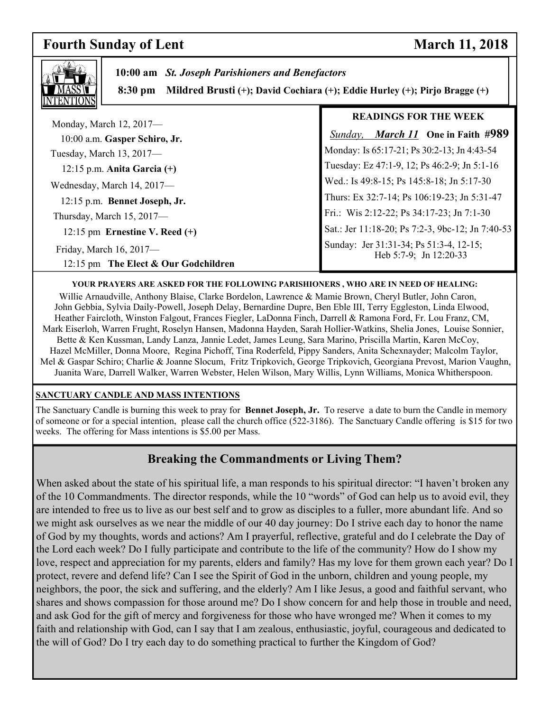## **Fourth Sunday of Lent** March 11, 2018

٦



 **10:00 am** *St. Joseph Parishioners and Benefactors*

 **8:30 pm Mildred Brusti (+); David Cochiara (+); Eddie Hurley (+); Pirjo Bragge (+)**

|                                                          | <b>READINGS FOR THE WEEK</b>                                      |  |
|----------------------------------------------------------|-------------------------------------------------------------------|--|
| Monday, March 12, 2017-<br>10:00 a.m. Gasper Schiro, Jr. | <b>Sunday, March 11</b> One in Faith #989                         |  |
| Tuesday, March 13, 2017-                                 | Monday: Is 65:17-21; Ps 30:2-13; Jn 4:43-54                       |  |
| $12:15$ p.m. Anita Garcia $(+)$                          | Tuesday: Ez 47:1-9, 12; Ps 46:2-9; Jn 5:1-16                      |  |
| Wednesday, March 14, 2017-                               | Wed.: Is 49:8-15; Ps 145:8-18; Jn 5:17-30                         |  |
| 12:15 p.m. Bennet Joseph, Jr.                            | Thurs: Ex 32:7-14; Ps 106:19-23; Jn 5:31-47                       |  |
| Thursday, March 15, 2017-                                | Fri.: Wis 2:12-22; Ps 34:17-23; Jn 7:1-30                         |  |
| 12:15 pm Ernestine V. Reed $(+)$                         | Sat.: Jer 11:18-20; Ps 7:2-3, 9bc-12; Jn 7:40-53                  |  |
| Friday, March 16, 2017-                                  | Sunday: Jer 31:31-34; Ps 51:3-4, 12-15;<br>Heb 5:7-9; Jn 12:20-33 |  |
| 12:15 pm The Elect & Our Godchildren                     |                                                                   |  |

#### **YOUR PRAYERS ARE ASKED FOR THE FOLLOWING PARISHIONERS , WHO ARE IN NEED OF HEALING:**

Willie Arnaudville, Anthony Blaise, Clarke Bordelon, Lawrence & Mamie Brown, Cheryl Butler, John Caron, John Gebbia, Sylvia Daily-Powell, Joseph Delay, Bernardine Dupre, Ben Eble III, Terry Eggleston, Linda Elwood, Heather Faircloth, Winston Falgout, Frances Fiegler, LaDonna Finch, Darrell & Ramona Ford, Fr. Lou Franz, CM, Mark Eiserloh, Warren Frught, Roselyn Hansen, Madonna Hayden, Sarah Hollier-Watkins, Shelia Jones, Louise Sonnier, Bette & Ken Kussman, Landy Lanza, Jannie Ledet, James Leung, Sara Marino, Priscilla Martin, Karen McCoy, Hazel McMiller, Donna Moore, Regina Pichoff, Tina Roderfeld, Pippy Sanders, Anita Schexnayder; Malcolm Taylor, Mel & Gaspar Schiro; Charlie & Joanne Slocum, Fritz Tripkovich, George Tripkovich, Georgiana Prevost, Marion Vaughn, Juanita Ware, Darrell Walker, Warren Webster, Helen Wilson, Mary Willis, Lynn Williams, Monica Whitherspoon.

### **SANCTUARY CANDLE AND MASS INTENTIONS**

The Sanctuary Candle is burning this week to pray for **Bennet Joseph, Jr.** To reserve a date to burn the Candle in memory of someone or for a special intention, please call the church office (522-3186). The Sanctuary Candle offering is \$15 for two weeks. The offering for Mass intentions is \$5.00 per Mass.

## **Breaking the Commandments or Living Them?**

When asked about the state of his spiritual life, a man responds to his spiritual director: "I haven't broken any of the 10 Commandments. The director responds, while the 10 "words" of God can help us to avoid evil, they are intended to free us to live as our best self and to grow as disciples to a fuller, more abundant life. And so we might ask ourselves as we near the middle of our 40 day journey: Do I strive each day to honor the name of God by my thoughts, words and actions? Am I prayerful, reflective, grateful and do I celebrate the Day of the Lord each week? Do I fully participate and contribute to the life of the community? How do I show my love, respect and appreciation for my parents, elders and family? Has my love for them grown each year? Do I protect, revere and defend life? Can I see the Spirit of God in the unborn, children and young people, my neighbors, the poor, the sick and suffering, and the elderly? Am I like Jesus, a good and faithful servant, who shares and shows compassion for those around me? Do I show concern for and help those in trouble and need, and ask God for the gift of mercy and forgiveness for those who have wronged me? When it comes to my faith and relationship with God, can I say that I am zealous, enthusiastic, joyful, courageous and dedicated to the will of God? Do I try each day to do something practical to further the Kingdom of God?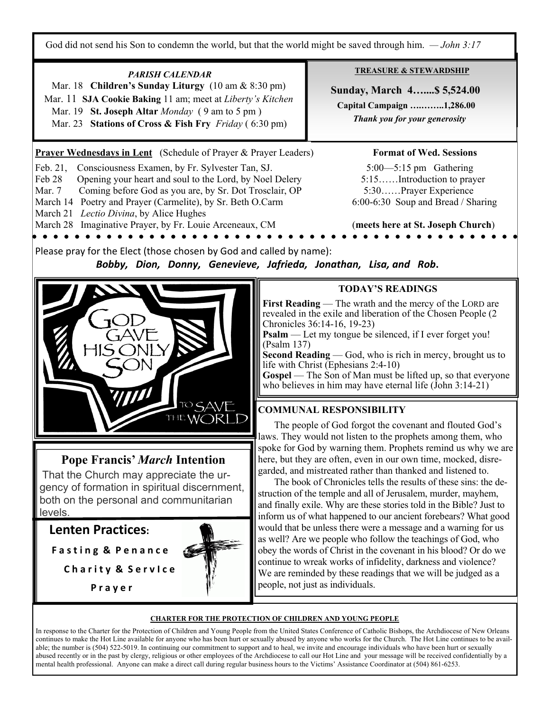God did not send his Son to condemn the world, but that the world might be saved through him. *— John 3:17*

**TREASURE & STEWARDSHIP** *PARISH CALENDAR*  Mar. 18 **Children's Sunday Liturgy** (10 am & 8:30 pm)  **Sunday, March 4…....\$ 5,524.00**  Mar. 11 **SJA Cookie Baking** 11 am; meet at *Liberty's Kitchen*   **Capital Campaign ….……..1,286.00**  Mar. 19 **St. Joseph Altar** *Monday* ( 9 am to 5 pm )  *Thank you for your generosity* Mar. 23 **Stations of Cross & Fish Fry** *Friday* ( 6:30 pm) **Prayer Wednesdays in Lent** (Schedule of Prayer & Prayer Leaders) **Format of Wed. Sessions** Feb. 21, Consciousness Examen, by Fr. Sylvester Tan, SJ. 5:00 5:15 pm Gathering Feb 28 Opening your heart and soul to the Lord, by Noel Delery 5:15.......Introduction to prayer Mar. 7 Coming before God as you are, by Sr. Dot Trosclair, OP 5:30……Prayer Experience March 14 Poetry and Prayer (Carmelite), by Sr. Beth O.Carm 6:00-6:30 Soup and Bread / Sharing March 21 *Lectio Divina*, by Alice Hughes March 28 Imaginative Prayer, by Fr. Louie Arceneaux, CM (**meets here at St. Joseph Church**) Please pray for the Elect (those chosen by God and called by name): *Bobby, Dion, Donny, Genevieve, Jafrieda, Jonathan, Lisa, and Rob***. TODAY'S READINGS First Reading** — The wrath and the mercy of the LORD are revealed in the exile and liberation of the Chosen People (2 Chronicles 36:14-16, 19-23) **Psalm** — Let my tongue be silenced, if I ever forget you! (Psalm 137) **Second Reading** — God, who is rich in mercy, brought us to life with Christ (Ephesians 2:4-10) **Gospel** — The Son of Man must be lifted up, so that everyone who believes in him may have eternal life  $(John 3:14-21)$ **COMMUNAL RESPONSIBILITY**  THE WORI The people of God forgot the covenant and flouted God's laws. They would not listen to the prophets among them, who spoke for God by warning them. Prophets remind us why we are **Pope Francis'** *March* **Intention**  here, but they are often, even in our own time, mocked, disregarded, and mistreated rather than thanked and listened to. That the Church may appreciate the ur- The book of Chronicles tells the results of these sins: the degency of formation in spiritual discernment, struction of the temple and all of Jerusalem, murder, mayhem, both on the personal and communitarian and finally exile. Why are these stories told in the Bible? Just to levels. inform us of what happened to our ancient forebears? What good **Lenten Practices:** would that be unless there were a message and a warning for us as well? Are we people who follow the teachings of God, who obey the words of Christ in the covenant in his blood? Or do we **F a s t i n g & P e n a n c e** continue to wreak works of infidelity, darkness and violence? **C h a r i t y & S e r v I c e**  We are reminded by these readings that we will be judged as a people, not just as individuals.  **P r a y e rCHARTER FOR THE PROTECTION OF CHILDREN AND YOUNG PEOPLE**

In response to the Charter for the Protection of Children and Young People from the United States Conference of Catholic Bishops, the Archdiocese of New Orleans continues to make the Hot Line available for anyone who has been hurt or sexually abused by anyone who works for the Church. The Hot Line continues to be available; the number is (504) 522-5019. In continuing our commitment to support and to heal, we invite and encourage individuals who have been hurt or sexually abused recently or in the past by clergy, religious or other employees of the Archdiocese to call our Hot Line and your message will be received confidentially by a mental health professional. Anyone can make a direct call during regular business hours to the Victims' Assistance Coordinator at (504) 861-6253.